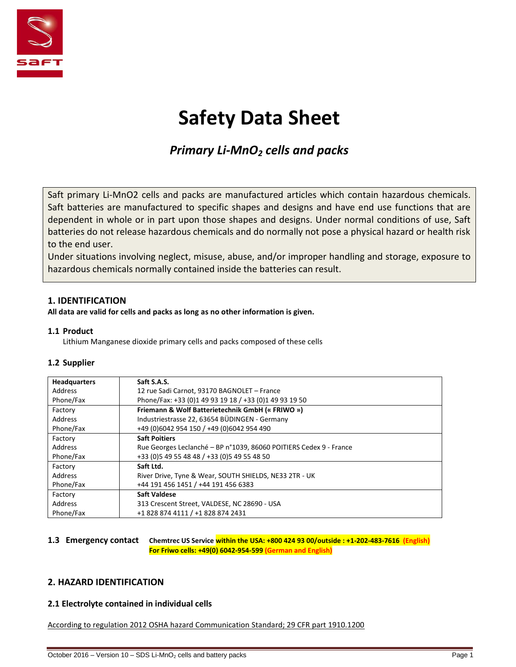

# **Safety Data Sheet**

*Primary Li-MnO<sup>2</sup> cells and packs*

Saft primary Li-MnO2 cells and packs are manufactured articles which contain hazardous chemicals. Saft batteries are manufactured to specific shapes and designs and have end use functions that are dependent in whole or in part upon those shapes and designs. Under normal conditions of use, Saft batteries do not release hazardous chemicals and do normally not pose a physical hazard or health risk to the end user.

Under situations involving neglect, misuse, abuse, and/or improper handling and storage, exposure to hazardous chemicals normally contained inside the batteries can result.

# **1. IDENTIFICATION**

**All data are valid for cells and packs as long as no other information is given.**

# **1.1 Product**

Lithium Manganese dioxide primary cells and packs composed of these cells

# **1.2 Supplier**

| <b>Headquarters</b> | Saft S.A.S.                                                        |
|---------------------|--------------------------------------------------------------------|
| Address             | 12 rue Sadi Carnot, 93170 BAGNOLET - France                        |
| Phone/Fax           | Phone/Fax: +33 (0)1 49 93 19 18 / +33 (0)1 49 93 19 50             |
| Factory             | Friemann & Wolf Batterietechnik GmbH (« FRIWO »)                   |
| Address             | Industriestrasse 22, 63654 BÜDINGEN - Germany                      |
| Phone/Fax           | +49 (0)6042 954 150 / +49 (0)6042 954 490                          |
| Factory             | <b>Saft Poitiers</b>                                               |
| Address             | Rue Georges Leclanché - BP n°1039, 86060 POITIERS Cedex 9 - France |
| Phone/Fax           | +33 (0) 5 49 55 48 48 / +33 (0) 5 49 55 48 50                      |
| Factory             | Saft Ltd.                                                          |
| Address             | River Drive, Tyne & Wear, SOUTH SHIELDS, NE33 2TR - UK             |
| Phone/Fax           | +44 191 456 1451 / +44 191 456 6383                                |
| Factory             | <b>Saft Valdese</b>                                                |
| Address             | 313 Crescent Street, VALDESE, NC 28690 - USA                       |
| Phone/Fax           | +1 828 874 4111 / +1 828 874 2431                                  |

#### **1.3 Emergency contact Chemtrec US Service within the USA: +800 424 93 00/outside : +1-202-483-7616 (English) For Friwo cells: +49(0) 6042-954-599 (German and English)**

# **2. HAZARD IDENTIFICATION**

# **2.1 Electrolyte contained in individual cells**

According to regulation 2012 OSHA hazard Communication Standard; 29 CFR part 1910.1200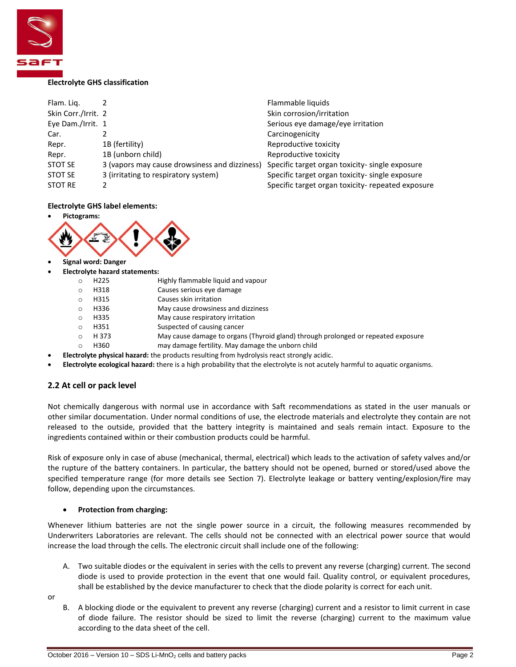

#### **Electrolyte GHS classification**

| Flam. Liq.          |                                               | Flammable liquids                                 |
|---------------------|-----------------------------------------------|---------------------------------------------------|
| Skin Corr./Irrit. 2 |                                               | Skin corrosion/irritation                         |
| Eye Dam./Irrit. 1   |                                               | Serious eye damage/eye irritation                 |
| Car.                |                                               | Carcinogenicity                                   |
| Repr.               | 1B (fertility)                                | Reproductive toxicity                             |
| Repr.               | 1B (unborn child)                             | Reproductive toxicity                             |
| STOT SE             | 3 (vapors may cause drowsiness and dizziness) | Specific target organ toxicity- single exposure   |
| STOT SE             | 3 (irritating to respiratory system)          | Specific target organ toxicity- single exposure   |
| <b>STOT RE</b>      |                                               | Specific target organ toxicity- repeated exposure |

#### **Electrolyte GHS label elements:**



- **Signal word: Danger**
- **Electrolyte hazard statements:**
	- o H225 Highly flammable liquid and vapour
	- o H318 Causes serious eye damage
	- o H315 Causes skin irritation
	- o H336 May cause drowsiness and dizziness
	- o H335 May cause respiratory irritation
	- o H351 Suspected of causing cancer
	- o H 373 May cause damage to organs (Thyroid gland) through prolonged or repeated exposure
	- o H360 may damage fertility. May damage the unborn child
- **Electrolyte physical hazard:** the products resulting from hydrolysis react strongly acidic.
- **Electrolyte ecological hazard:** there is a high probability that the electrolyte is not acutely harmful to aquatic organisms.

# **2.2 At cell or pack level**

Not chemically dangerous with normal use in accordance with Saft recommendations as stated in the user manuals or other similar documentation. Under normal conditions of use, the electrode materials and electrolyte they contain are not released to the outside, provided that the battery integrity is maintained and seals remain intact. Exposure to the ingredients contained within or their combustion products could be harmful.

Risk of exposure only in case of abuse (mechanical, thermal, electrical) which leads to the activation of safety valves and/or the rupture of the battery containers. In particular, the battery should not be opened, burned or stored/used above the specified temperature range (for more details see Section 7). Electrolyte leakage or battery venting/explosion/fire may follow, depending upon the circumstances.

#### **Protection from charging:**

Whenever lithium batteries are not the single power source in a circuit, the following measures recommended by Underwriters Laboratories are relevant. The cells should not be connected with an electrical power source that would increase the load through the cells. The electronic circuit shall include one of the following:

- A. Two suitable diodes or the equivalent in series with the cells to prevent any reverse (charging) current. The second diode is used to provide protection in the event that one would fail. Quality control, or equivalent procedures, shall be established by the device manufacturer to check that the diode polarity is correct for each unit.
- or
- B. A blocking diode or the equivalent to prevent any reverse (charging) current and a resistor to limit current in case of diode failure. The resistor should be sized to limit the reverse (charging) current to the maximum value according to the data sheet of the cell.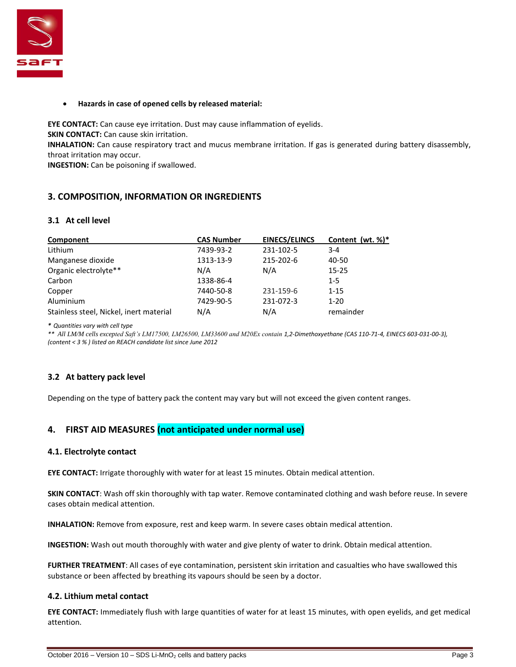

#### **Hazards in case of opened cells by released material:**

**EYE CONTACT:** Can cause eye irritation. Dust may cause inflammation of eyelids. **SKIN CONTACT:** Can cause skin irritation. **INHALATION:** Can cause respiratory tract and mucus membrane irritation. If gas is generated during battery disassembly, throat irritation may occur. **INGESTION:** Can be poisoning if swallowed.

# **3. COMPOSITION, INFORMATION OR INGREDIENTS**

#### **3.1 At cell level**

| Component                               | <b>CAS Number</b> | <b>EINECS/ELINCS</b> | Content (wt. %)* |
|-----------------------------------------|-------------------|----------------------|------------------|
| Lithium                                 | 7439-93-2         | 231-102-5            | $3 - 4$          |
| Manganese dioxide                       | 1313-13-9         | 215-202-6            | 40-50            |
| Organic electrolyte**                   | N/A               | N/A                  | $15 - 25$        |
| Carbon                                  | 1338-86-4         |                      | $1 - 5$          |
| Copper                                  | 7440-50-8         | 231-159-6            | $1 - 15$         |
| Aluminium                               | 7429-90-5         | 231-072-3            | $1 - 20$         |
| Stainless steel, Nickel, inert material | N/A               | N/A                  | remainder        |

*\* Quantities vary with cell type*

*\*\* All LM/M cells excepted Saft's LM17500, LM26500, LM33600 and M20Ex contain 1,2-Dimethoxyethane (CAS 110-71-4, EINECS 603-031-00-3), (content < 3 % ) listed on REACH candidate list since June 2012*

#### **3.2 At battery pack level**

Depending on the type of battery pack the content may vary but will not exceed the given content ranges.

# **4. FIRST AID MEASURES (not anticipated under normal use)**

#### **4.1. Electrolyte contact**

**EYE CONTACT:** Irrigate thoroughly with water for at least 15 minutes. Obtain medical attention.

**SKIN CONTACT**: Wash off skin thoroughly with tap water. Remove contaminated clothing and wash before reuse. In severe cases obtain medical attention.

**INHALATION:** Remove from exposure, rest and keep warm. In severe cases obtain medical attention.

**INGESTION:** Wash out mouth thoroughly with water and give plenty of water to drink. Obtain medical attention.

**FURTHER TREATMENT**: All cases of eye contamination, persistent skin irritation and casualties who have swallowed this substance or been affected by breathing its vapours should be seen by a doctor.

#### **4.2. Lithium metal contact**

**EYE CONTACT:** Immediately flush with large quantities of water for at least 15 minutes, with open eyelids, and get medical attention.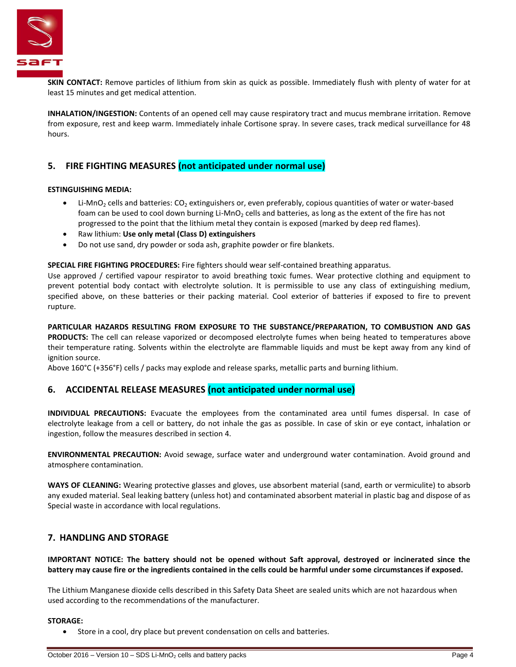

**SKIN CONTACT:** Remove particles of lithium from skin as quick as possible. Immediately flush with plenty of water for at least 15 minutes and get medical attention.

**INHALATION/INGESTION:** Contents of an opened cell may cause respiratory tract and mucus membrane irritation. Remove from exposure, rest and keep warm. Immediately inhale Cortisone spray. In severe cases, track medical surveillance for 48 hours.

# **5. FIRE FIGHTING MEASURES (not anticipated under normal use)**

#### **ESTINGUISHING MEDIA:**

- Li-MnO<sub>2</sub> cells and batteries:  $CO<sub>2</sub>$  extinguishers or, even preferably, copious quantities of water or water-based foam can be used to cool down burning Li-MnO<sub>2</sub> cells and batteries, as long as the extent of the fire has not progressed to the point that the lithium metal they contain is exposed (marked by deep red flames).
- Raw lithium: **Use only metal (Class D) extinguishers**
- Do not use sand, dry powder or soda ash, graphite powder or fire blankets.

**SPECIAL FIRE FIGHTING PROCEDURES:** Fire fighters should wear self-contained breathing apparatus.

Use approved / certified vapour respirator to avoid breathing toxic fumes. Wear protective clothing and equipment to prevent potential body contact with electrolyte solution. It is permissible to use any class of extinguishing medium, specified above, on these batteries or their packing material. Cool exterior of batteries if exposed to fire to prevent rupture.

**PARTICULAR HAZARDS RESULTING FROM EXPOSURE TO THE SUBSTANCE/PREPARATION, TO COMBUSTION AND GAS PRODUCTS:** The cell can release vaporized or decomposed electrolyte fumes when being heated to temperatures above their temperature rating. Solvents within the electrolyte are flammable liquids and must be kept away from any kind of ignition source.

Above 160°C (+356°F) cells / packs may explode and release sparks, metallic parts and burning lithium.

# **6. ACCIDENTAL RELEASE MEASURES (not anticipated under normal use)**

**INDIVIDUAL PRECAUTIONS:** Evacuate the employees from the contaminated area until fumes dispersal. In case of electrolyte leakage from a cell or battery, do not inhale the gas as possible. In case of skin or eye contact, inhalation or ingestion, follow the measures described in section 4.

**ENVIRONMENTAL PRECAUTION:** Avoid sewage, surface water and underground water contamination. Avoid ground and atmosphere contamination.

**WAYS OF CLEANING:** Wearing protective glasses and gloves, use absorbent material (sand, earth or vermiculite) to absorb any exuded material. Seal leaking battery (unless hot) and contaminated absorbent material in plastic bag and dispose of as Special waste in accordance with local regulations.

# **7. HANDLING AND STORAGE**

**IMPORTANT NOTICE: The battery should not be opened without Saft approval, destroyed or incinerated since the battery may cause fire or the ingredients contained in the cells could be harmful under some circumstances if exposed.**

The Lithium Manganese dioxide cells described in this Safety Data Sheet are sealed units which are not hazardous when used according to the recommendations of the manufacturer.

#### **STORAGE:**

Store in a cool, dry place but prevent condensation on cells and batteries.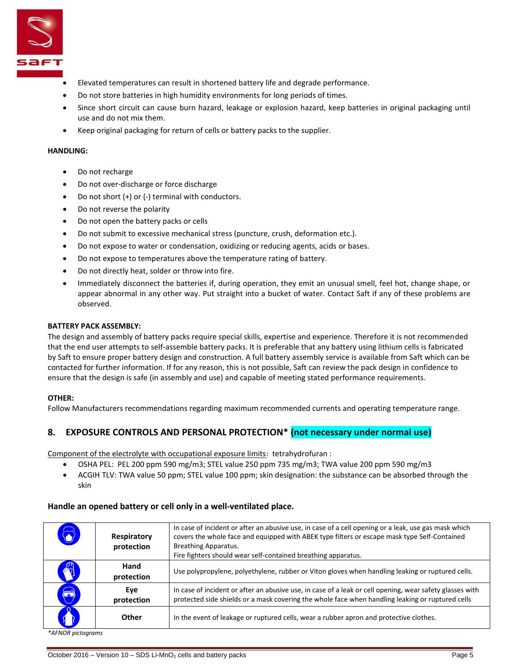

- Elevated temperatures can result in shortened battery life and degrade performance.
- Do not store batteries in high humidity environments for long periods of times.
- Since short circuit can cause burn hazard, leakage or explosion hazard, keep batteries in original packaging until use and do not mix them.
- Keep original packaging for return of cells or battery packs to the supplier.

#### **HANDLING:**

- Do not recharge
- Do not over-discharge or force discharge
- Do not short (+) or (-) terminal with conductors.
- Do not reverse the polarity
- Do not open the battery packs or cells
- Do not submit to excessive mechanical stress (puncture, crush, deformation etc.).
- Do not expose to water or condensation, oxidizing or reducing agents, acids or bases.
- Do not expose to temperatures above the temperature rating of battery.
- Do not directly heat, solder or throw into fire.
- Immediately disconnect the batteries if, during operation, they emit an unusual smell, feel hot, change shape, or appear abnormal in any other way. Put straight into a bucket of water. Contact Saft if any of these problems are observed.

#### **BATTERY PACK ASSEMBLY:**

The design and assembly of battery packs require special skills, expertise and experience. Therefore it is not recommended that the end user attempts to self-assemble battery packs. It is preferable that any battery using lithium cells is fabricated by Saft to ensure proper battery design and construction. A full battery assembly service is available from Saft which can be contacted for further information. If for any reason, this is not possible, Saft can review the pack design in confidence to ensure that the design is safe (in assembly and use) and capable of meeting stated performance requirements.

#### **OTHER:**

Follow Manufacturers recommendations regarding maximum recommended currents and operating temperature range.

# **8. EXPOSURE CONTROLS AND PERSONAL PROTECTION\* (not necessary under normal use)**

Component of the electrolyte with occupational exposure limits: tetrahydrofuran :

- OSHA PEL: PEL 200 ppm 590 mg/m3; STEL value 250 ppm 735 mg/m3; TWA value 200 ppm 590 mg/m3
- ACGIH TLV: TWA value 50 ppm; STEL value 100 ppm; skin designation: the substance can be absorbed through the skin

#### **Handle an opened battery or cell only in a well-ventilated place.**

| 8          | Respiratory<br>protection | In case of incident or after an abusive use, in case of a cell opening or a leak, use gas mask which<br>covers the whole face and equipped with ABEK type filters or escape mask type Self-Contained<br><b>Breathing Apparatus.</b><br>Fire fighters should wear self-contained breathing apparatus. |
|------------|---------------------------|------------------------------------------------------------------------------------------------------------------------------------------------------------------------------------------------------------------------------------------------------------------------------------------------------|
| <b>AAA</b> | Hand<br>protection        | Use polypropylene, polyethylene, rubber or Viton gloves when handling leaking or ruptured cells.                                                                                                                                                                                                     |
| $\bigcirc$ | Eye<br>protection         | In case of incident or after an abusive use, in case of a leak or cell opening, wear safety glasses with<br>protected side shields or a mask covering the whole face when handling leaking or ruptured cells                                                                                         |
|            | Other                     | In the event of leakage or ruptured cells, wear a rubber apron and protective clothes.                                                                                                                                                                                                               |
|            |                           |                                                                                                                                                                                                                                                                                                      |

*\*AFNOR pictograms*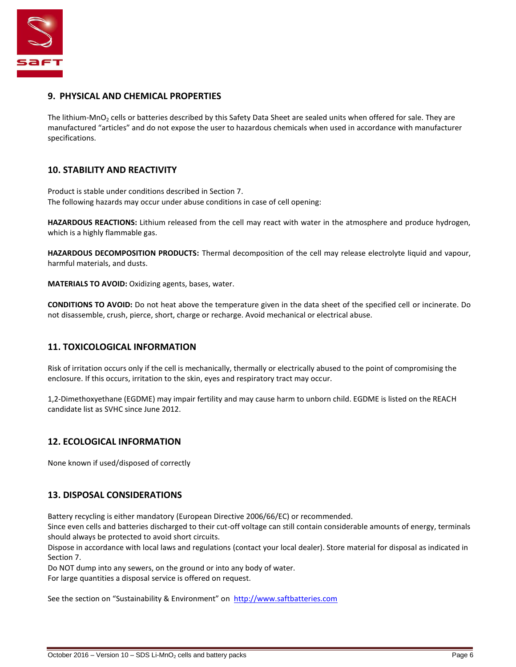

### **9. PHYSICAL AND CHEMICAL PROPERTIES**

The lithium-MnO<sub>2</sub> cells or batteries described by this Safety Data Sheet are sealed units when offered for sale. They are manufactured "articles" and do not expose the user to hazardous chemicals when used in accordance with manufacturer specifications.

# **10. STABILITY AND REACTIVITY**

Product is stable under conditions described in Section 7. The following hazards may occur under abuse conditions in case of cell opening:

**HAZARDOUS REACTIONS:** Lithium released from the cell may react with water in the atmosphere and produce hydrogen, which is a highly flammable gas.

**HAZARDOUS DECOMPOSITION PRODUCTS:** Thermal decomposition of the cell may release electrolyte liquid and vapour, harmful materials, and dusts.

**MATERIALS TO AVOID:** Oxidizing agents, bases, water.

**CONDITIONS TO AVOID:** Do not heat above the temperature given in the data sheet of the specified cell or incinerate. Do not disassemble, crush, pierce, short, charge or recharge. Avoid mechanical or electrical abuse.

# **11. TOXICOLOGICAL INFORMATION**

Risk of irritation occurs only if the cell is mechanically, thermally or electrically abused to the point of compromising the enclosure. If this occurs, irritation to the skin, eyes and respiratory tract may occur.

1,2-Dimethoxyethane (EGDME) may impair fertility and may cause harm to unborn child. EGDME is listed on the REACH candidate list as SVHC since June 2012.

#### **12. ECOLOGICAL INFORMATION**

None known if used/disposed of correctly

# **13. DISPOSAL CONSIDERATIONS**

Battery recycling is either mandatory (European Directive 2006/66/EC) or recommended.

Since even cells and batteries discharged to their cut-off voltage can still contain considerable amounts of energy, terminals should always be protected to avoid short circuits.

Dispose in accordance with local laws and regulations (contact your local dealer). Store material for disposal as indicated in Section 7.

Do NOT dump into any sewers, on the ground or into any body of water.

For large quantities a disposal service is offered on request.

See the section on "Sustainability & Environment" on [http://www.saftbatteries.com](http://www.saftbatteries.com/)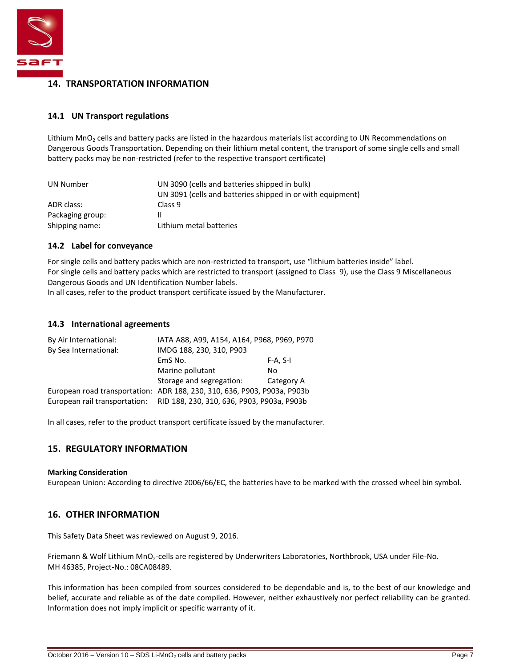

# **14. TRANSPORTATION INFORMATION**

### **14.1 UN Transport regulations**

Lithium  $MnO<sub>2</sub>$  cells and battery packs are listed in the hazardous materials list according to UN Recommendations on Dangerous Goods Transportation. Depending on their lithium metal content, the transport of some single cells and small battery packs may be non-restricted (refer to the respective transport certificate)

| UN Number        | UN 3090 (cells and batteries shipped in bulk)              |
|------------------|------------------------------------------------------------|
|                  | UN 3091 (cells and batteries shipped in or with equipment) |
| ADR class:       | Class 9                                                    |
| Packaging group: | Ш                                                          |
| Shipping name:   | Lithium metal batteries                                    |

#### **14.2 Label for conveyance**

For single cells and battery packs which are non-restricted to transport, use "lithium batteries inside" label. For single cells and battery packs which are restricted to transport (assigned to Class 9), use the Class 9 Miscellaneous Dangerous Goods and UN Identification Number labels.

In all cases, refer to the product transport certificate issued by the Manufacturer.

#### **14.3 International agreements**

| By Air International: | IATA A88, A99, A154, A164, P968, P969, P970                              |            |  |
|-----------------------|--------------------------------------------------------------------------|------------|--|
| By Sea International: | IMDG 188, 230, 310, P903                                                 |            |  |
|                       | EmS No.                                                                  | $F-A, S-I$ |  |
|                       | Marine pollutant                                                         | No         |  |
|                       | Storage and segregation:                                                 | Category A |  |
|                       | European road transportation: ADR 188, 230, 310, 636, P903, P903a, P903b |            |  |
|                       | European rail transportation: RID 188, 230, 310, 636, P903, P903a, P903b |            |  |

In all cases, refer to the product transport certificate issued by the manufacturer.

# **15. REGULATORY INFORMATION**

#### **Marking Consideration**

European Union: According to directive 2006/66/EC, the batteries have to be marked with the crossed wheel bin symbol.

# **16. OTHER INFORMATION**

This Safety Data Sheet was reviewed on August 9, 2016.

Friemann & Wolf Lithium MnO<sub>2</sub>-cells are registered by Underwriters Laboratories, Northbrook, USA under File-No. MH 46385, Project-No.: 08CA08489.

This information has been compiled from sources considered to be dependable and is, to the best of our knowledge and belief, accurate and reliable as of the date compiled. However, neither exhaustively nor perfect reliability can be granted. Information does not imply implicit or specific warranty of it.